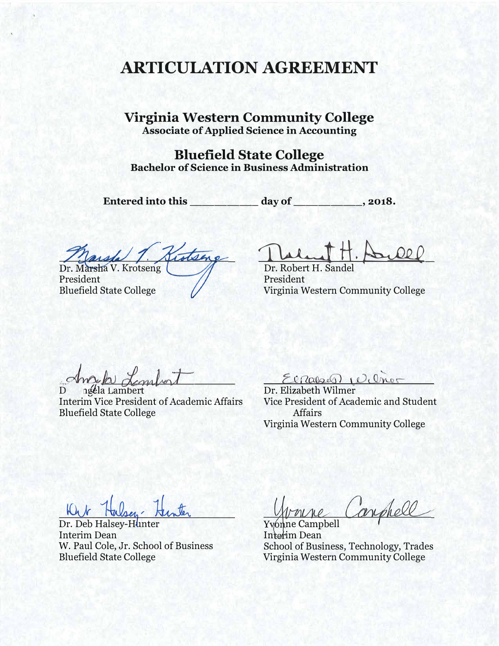# **ARTICULATION AGREEMENT**

**Virginia Western Community College Associate of Applied Science in Accounting** 

**Bluefield State College Bachelor of Science in Business Administration** 

Entered into this day of \_\_\_\_\_\_\_\_, 2018.

de 1. Kistsing

President Bluefield State College

Theland # po 000

Dr. Robert H. Sand President Virginia Western Community College

Insula Lindon

D ngela Lambert Interim Vice President of Academic Affairs Bluefield State College

El Rabel Wilmer

Vice President of Academic and Student Affairs Virginia Western Community College

Kut:

Dr. Deb Halsey-Hunter Interim Dean<br>W. Paul Cole, Jr. School of Business

nine Campbell

Yvonne Campbell Interim Dean W. Paul Cole, Jr. School of Business School of Business, Technology, Trades Virginia Western Community College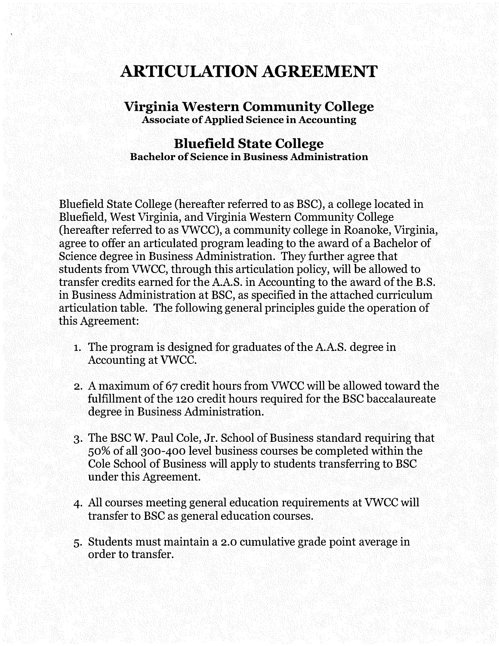# **ARTICULATION AGREEMENT**

#### **Virginia Western Community College Associate of Applied Science in Accounting**

### **Bluefield State College Bachelor of Science in Business Administration**

Bluefield State College (hereafter referred to as BSC), a college located in Bluefield, West Virginia, and Virginia Western Community College (hereafter referred to as VWCC), a community college in Roanoke, Virginia, agree to offer an articulated program leading to the award of a Bachelor of Science degree in Business Administration. They further agree that students from VWCC, through this articulation policy, will be allowed to transfer credits earned for the A.A.S. in Accounting to the award of the B.S. in Business Administration at BSC, as specified in the attached curriculum articulation table. The following general principles guide the operation of this Agreement:

- 1. The program is designed for graduates of the A.A.S. degree in Accounting at VWCC.
- 2. A maximum of 67 credit hours from VWCC will be allowed toward the fulfillment of the 120 credit hours required for the BSC baccalaureate degree in Business Administration.
- 3. The BSC W. Paul Cole, Jr. School of Business standard requiring that 50% of all 300-400 level business courses be completed within the Cole School of Business will apply to students transferring to BSC under this Agreement.
- 4. All courses meeting general education requirements at VWCC will transfer to BSC as general education courses.
- 5. Students must maintain a 2.0 cumulative grade point average in order to transfer.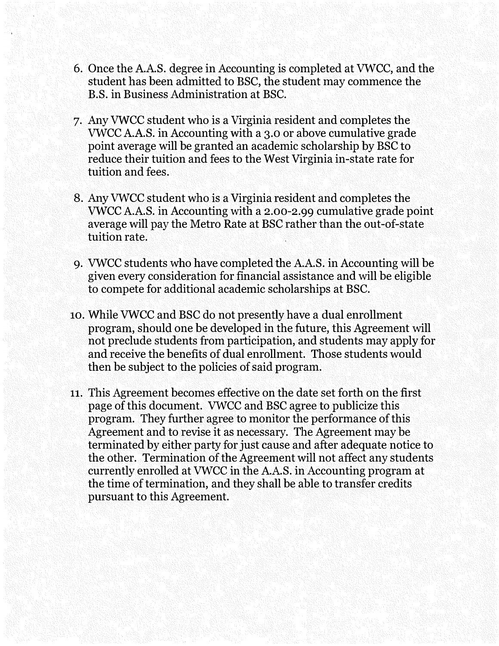- 6. Once the A.A.S. degree in Accounting is completed at VWCC, and the student has been admitted to BSC, the student may commence the B.S. in Business Administration at BSC.
- 7. Any VWCC student who is a Virginia resident and completes the VWCC A.A.S. in Accounting with a 3.0 or above cumulative grade point average will be granted an academic scholarship by BSC to reduce their tuition and fees to the West Virginia in-state rate for tuition and fees.
- 8. Any VWCC student who is a Virginia resident and completes the VWCC A.A.S. in Accounting with a [2.00-2.99](https://2.00-2.99) cumulative grade point average will pay the Metro Rate at BSC rather than the out-of-state tuition rate.
- 9. VWCC students who have completed the A.A.S. in Accounting will be given every consideration for financial assistance and will be eligible to compete for additional academic scholarships at BSC.
- 10. While VWCC and BSC do not presently have a dual enrollment program, should one be developed in the future, this Agreement will not preclude students from participation, and students may apply for and receive the benefits of dual enrollment. Those students would then be subject to the policies of said program.
- 11. This Agreement becomes effective on the date set forth on the first page of this document. VWCC and BSC agree to publicize this program. They further agree to monitor the performance of this Agreement and to revise it as necessary. The Agreement may be terminated by either party for just cause and after adequate notice to the other. Termination of the Agreement will not affect any students currently enrolled at VWCC in the A.A.S. in Accounting program at the time of termination, and they shall be able to transfer credits pursuant to this Agreement.